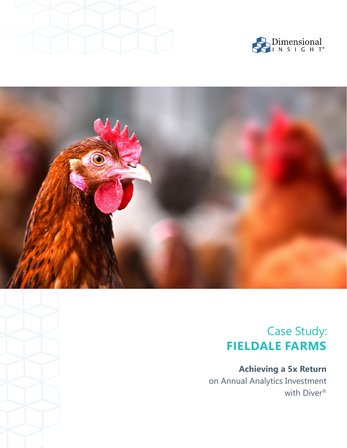





# Case Study: **FIELDALE FARMS**

**Achieving a 5x Return**  on Annual Analytics Investment with Diver®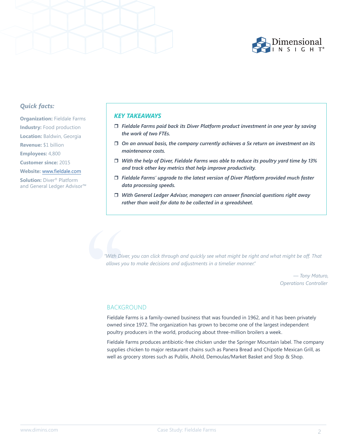

## *Quick facts:*

**Organization: Fieldale Farms Industry:** Food production **Location:** Baldwin, Georgia **Revenue:** \$1 billion **Employees:** 4,800 **Customer since:** 2015 **Website:** www.fieldale.com **Solution:** Diver® Platform and General Ledger Advisor™

#### *KEY TAKEAWAYS*

- *Fieldale Farms paid back its Diver Platform product investment in one year by saving the work of two FTEs.*
- *On an annual basis, the company currently achieves a 5x return on investment on its maintenance costs.*
- *With the help of Diver, Fieldale Farms was able to reduce its poultry yard time by 13% and track other key metrics that help improve productivity.*
- *Fieldale Farms' upgrade to the latest version of Diver Platform provided much faster data processing speeds.*
- *With General Ledger Advisor, managers can answer financial questions right away rather than wait for data to be collected in a spreadsheet.*

*"With Diver, you can click through and quickly see what might be right and what might be off. That allows you to make decisions and adjustments in a timelier manner."*

> *— Tony Maturo, Operations Controller*

## BACKGROUND

Fieldale Farms is a family-owned business that was founded in 1962, and it has been privately owned since 1972. The organization has grown to become one of the largest independent poultry producers in the world, producing about three-million broilers a week. With Di<br>
"With Di<br>
allows y<br>
BACK<br>
Fieldale<br>
owned

Fieldale Farms produces antibiotic-free chicken under the Springer Mountain label. The company supplies chicken to major restaurant chains such as Panera Bread and Chipotle Mexican Grill, as well as grocery stores such as Publix, Ahold, Demoulas/Market Basket and Stop & Shop.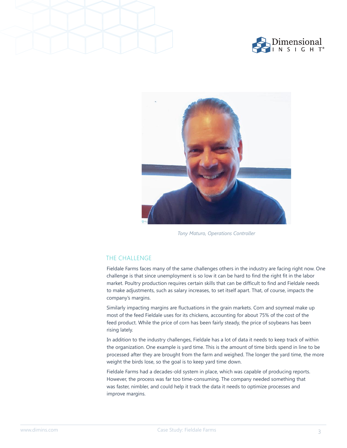





*Tony Maturo, Operations Controller*

## THE CHALLENGE

Fieldale Farms faces many of the same challenges others in the industry are facing right now. One challenge is that since unemployment is so low it can be hard to find the right fit in the labor market. Poultry production requires certain skills that can be difficult to find and Fieldale needs to make adjustments, such as salary increases, to set itself apart. That, of course, impacts the company's margins.

Similarly impacting margins are fluctuations in the grain markets. Corn and soymeal make up most of the feed Fieldale uses for its chickens, accounting for about 75% of the cost of the feed product. While the price of corn has been fairly steady, the price of soybeans has been rising lately.

In addition to the industry challenges, Fieldale has a lot of data it needs to keep track of within the organization. One example is yard time. This is the amount of time birds spend in line to be processed after they are brought from the farm and weighed. The longer the yard time, the more weight the birds lose, so the goal is to keep yard time down.

Fieldale Farms had a decades-old system in place, which was capable of producing reports. However, the process was far too time-consuming. The company needed something that was faster, nimbler, and could help it track the data it needs to optimize processes and improve margins.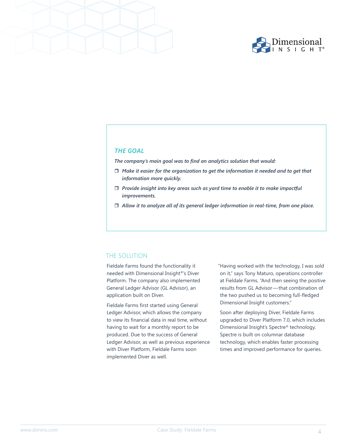



## *THE GOAL*

*The company's main goal was to find an analytics solution that would:*

- *Make it easier for the organization to get the information it needed and to get that information more quickly.*
- *Provide insight into key areas such as yard time to enable it to make impactful improvements.*
- *Allow it to analyze all of its general ledger information in real-time, from one place.*

#### THE SOLUTION

Fieldale Farms found the functionality it needed with Dimensional Insight®'s Diver Platform. The company also implemented General Ledger Advisor (GL Advisor), an application built on Diver.

Fieldale Farms first started using General Ledger Advisor, which allows the company to view its financial data in real time, without having to wait for a monthly report to be produced. Due to the success of General Ledger Advisor, as well as previous experience with Diver Platform, Fieldale Farms soon implemented Diver as well.

"Having worked with the technology, I was sold on it," says Tony Maturo, operations controller at Fieldale Farms. "And then seeing the positive results from GL Advisor — that combination of the two pushed us to becoming full-fledged Dimensional Insight customers."

Soon after deploying Diver, Fieldale Farms upgraded to Diver Platform 7.0, which includes Dimensional Insight's Spectre® technology. Spectre is built on columnar database technology, which enables faster processing times and improved performance for queries.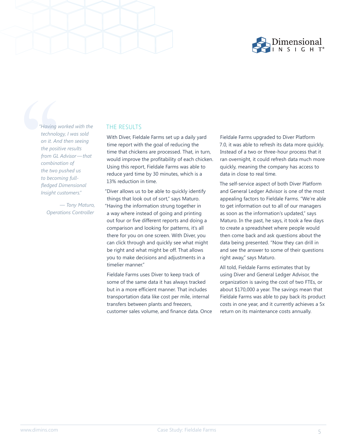

"Having"<br>"Having"<br>on it. Ar<br>the posi<br>from GL<br>combine<br>the two<br>to becor<br>fledged<br>Insight of *"Having worked with the technology, I was sold on it. And then seeing the positive results from GL Advisor — that combination of the two pushed us to becoming fullfledged Dimensional Insight customers."*

> *— Tony Maturo, Operations Controller*

## THE RESULTS

With Diver, Fieldale Farms set up a daily yard time report with the goal of reducing the time that chickens are processed. That, in turn, would improve the profitability of each chicken. Using this report, Fieldale Farms was able to reduce yard time by 30 minutes, which is a 13% reduction in time.

"Diver allows us to be able to quickly identify things that look out of sort," says Maturo. "Having the information strung together in a way where instead of going and printing out four or five different reports and doing a comparison and looking for patterns, it's all there for you on one screen. With Diver, you can click through and quickly see what might be right and what might be off. That allows you to make decisions and adjustments in a timelier manner."

Fieldale Farms uses Diver to keep track of some of the same data it has always tracked but in a more efficient manner. That includes transportation data like cost per mile, internal transfers between plants and freezers, customer sales volume, and finance data. Once Fieldale Farms upgraded to Diver Platform 7.0, it was able to refresh its data more quickly. Instead of a two or three-hour process that it ran overnight, it could refresh data much more quickly, meaning the company has access to data in close to real time.

The self-service aspect of both Diver Platform and General Ledger Advisor is one of the most appealing factors to Fieldale Farms. "We're able to get information out to all of our managers as soon as the information's updated," says Maturo. In the past, he says, it took a few days to create a spreadsheet where people would then come back and ask questions about the data being presented. "Now they can drill in and see the answer to some of their questions right away," says Maturo.

All told, Fieldale Farms estimates that by using Diver and General Ledger Advisor, the organization is saving the cost of two FTEs, or about \$170,000 a year. The savings mean that Fieldale Farms was able to pay back its product costs in one year, and it currently achieves a 5x return on its maintenance costs annually.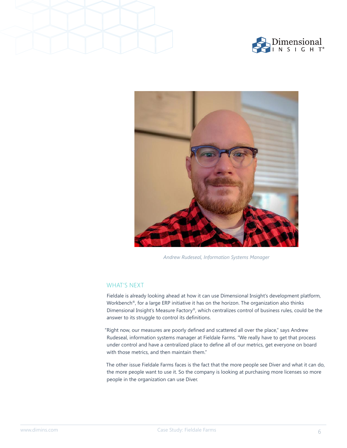





*Andrew Rudeseal, Information Systems Manager*

## WHAT'S NEXT

Fieldale is already looking ahead at how it can use Dimensional Insight's development platform, Workbench®, for a large ERP initiative it has on the horizon. The organization also thinks Dimensional Insight's Measure Factory®, which centralizes control of business rules, could be the answer to its struggle to control its definitions.

"Right now, our measures are poorly defined and scattered all over the place," says Andrew Rudeseal, information systems manager at Fieldale Farms. "We really have to get that process under control and have a centralized place to define all of our metrics, get everyone on board with those metrics, and then maintain them."

The other issue Fieldale Farms faces is the fact that the more people see Diver and what it can do, the more people want to use it. So the company is looking at purchasing more licenses so more people in the organization can use Diver.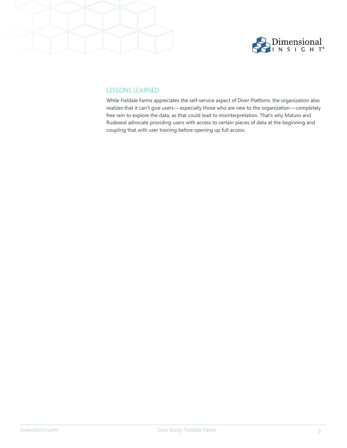

## LESSONS LEARNED

While Fieldale Farms appreciates the self-service aspect of Diver Platform, the organization also realizes that it can't give users — especially those who are new to the organization — completely free rein to explore the data, as that could lead to misinterpretation. That's why Maturo and Rudeseal advocate providing users with access to certain pieces of data at the beginning and coupling that with user training before opening up full access.